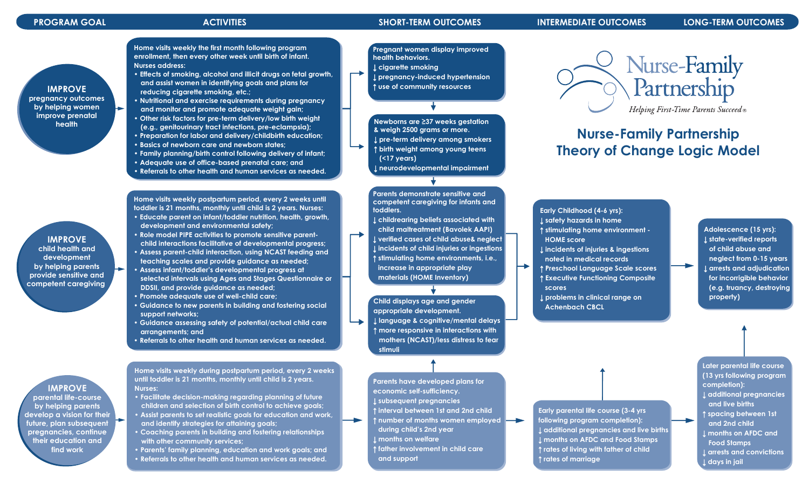**IMPROVE pregnancy outcomes by helping women improve prenatal health**

 $\blacktriangleright$ 

**IMPROVE child health and development by helping parents provide sensitive and competent caregiving** 

**IMPROVE parental life-course by helping parents develop a vision for their future, plan subsequent pregnancies, continue their education and find work**

**Home visits weekly the first month following program enrollment, then every other week until birth of infant. Nurses address:**

- **Effects of smoking, alcohol and illicit drugs on fetal growth, and assist women in identifying goals and plans for reducing cigarette smoking, etc.;**
- **Nutritional and exercise requirements during pregnancy and monitor and promote adequate weight gain;**
- **Other risk factors for pre-term delivery/low birth weight (e.g., genitourinary tract infections, pre-eclampsia); • Preparation for labor and delivery/childbirth education; • Basics of newborn care and newborn states;**
- **Family planning/birth control following delivery of infant; • Adequate use of office-based prenatal care; and**
- **Referrals to other health and human services as needed.**

**Home visits weekly postpartum period, every 2 weeks until toddler is 21 months, monthly until child is 2 years. Nurses: • Educate parent on infant/toddler nutrition, health, growth, development and environmental safety;**

- **Role model PIPE activities to promote sensitive parent child interactions facilitative of developmental progress; • Assess parent-child interaction, using NCAST feeding and teaching scales and provide guidance as needed;**
- **Assess infant/toddler's developmental progress at selected intervals using Ages and Stages Questionnaire or DDSII, and provide guidance as needed;**
- **Promote adequate use of well-child care;**
- **Guidance to new parents in building and fostering social support networks;**
- **Guidance assessing safety of potential/actual child care arrangements; and**
- **Referrals to other health and human services as needed.**

**Home visits weekly during postpartum period, every 2 weeks until toddler is 21 months, monthly until child is 2 years. Nurses:** 

- **Facilitate decision-making regarding planning of future children and selection of birth control to achieve goals;**
- **Assist parents to set realistic goals for education and work, and identify strategies for attaining goals;**
- **Coaching parents in building and fostering relationships with other community services;**
- **Parents' family planning, education and work goals; and • Referrals to other health and human services as needed.**

**Pregnant women display improved health behaviors. ↓ cigarette smoking ↓ pregnancy-induced hypertension ↑ use of community resources**

**Newborns are ≥37 weeks gestation & weigh 2500 grams or more. ↓ pre-term delivery among smokers ↑ birth weight among young teens (<17 years) ↓ neurodevelopmental impairment** 

┶

┕

**Parents demonstrate sensitive and competent caregiving for infants and toddlers.**

**↓ childrearing beliefs associated with child maltreatment (Bavolek AAPI) ↓ verified cases of child abuse& neglect ↓ incidents of child injuries or ingestions ↑ stimulating home environments, i.e., increase in appropriate play materials (HOME Inventory)**

**Child displays age and gender appropriate development. ↓ language & cognitive/mental delays ↑ more responsive in interactions with mothers (NCAST)/less distress to fear stimuli** 

**Parents have developed plans for economic self-sufficiency. ↓ subsequent pregnancies ↑ interval between 1st and 2nd child ↑ number of months women employed during child's 2nd year ↓ months on welfare ↑ father involvement in child care and support** 

**Early parental life course (3-4 yrs**

**Later parental life course (13 yrs following program completion): ↓ additional pregnancies and live births ↑ spacing between 1st and 2nd child ↓ months on AFDC and Food Stamps ↓ arrests and convictions ↓ days in jail** 

Nurse-Family<br>Partnership Helping First-Time Parents Succeed®

# **Nurse-Family Partnership Theory of Change Logic Model**

**Early Childhood (4-6 yrs): ↓ safety hazards in home ↑ stimulating home environment - HOME score ↓ incidents of injuries & ingestions noted in medical records**

- **↑ Preschool Language Scale scores ↑ Executive Functioning Composite scores**
- **↓ problems in clinical range on Achenbach CBCL**

 $\rightarrow$ 

**following program completion):**

**↑ rates of marriage**

**↓ additional pregnancies and live births ↓ months on AFDC and Food Stamps ↑ rates of living with father of child**

**Adolescence (15 yrs): ↓ state-verified reports of child abuse and neglect from 0-15 years ↓ arrests and adjudication for incorrigible behavior (e.g. truancy, destroying property)**